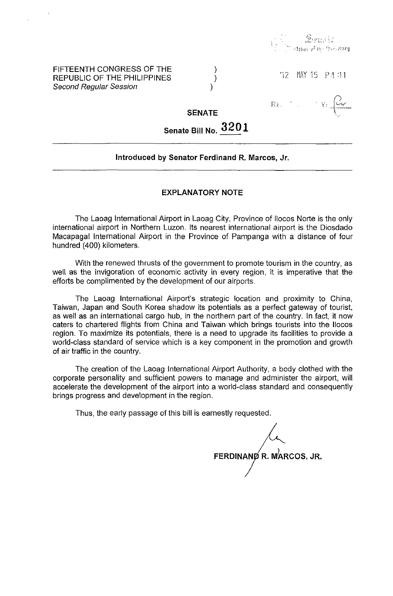

# FIFTEENTH CONGRESS OF THE REPUBLIC OF THE PHILIPPINES Second Regular Session

'12 MNY 15 PA :11

 $\mathbb{R}$  ,  $\left\langle \begin{array}{cc} 0 & 0 \\ 0 & 0 \end{array} \right\rangle$ 

,,:-(0)''

# **SENATE**

) ) )

**Senate Bill** No. **3201** 

# **Introduced by Senator Ferdinand R. Marcos,** Jr.

#### **EXPLANATORY NOTE**

The Laoag International Airport in Laoag City, Province of lIocos Norte is the only international airport in Northern Luzon. Its nearest international airport is the Diosdado Macapagal International Airport in the Province of Pampanga with a distance of four hundred (400) kilometers.

With the renewed thrusts of the government to promote tourism in the country, as well as the invigoration of economic activity in every region, it is imperative that the efforts be complimented by the development of our airports.

The Laoag International Airport's strategic location and proximity to China, Taiwan, Japan and South Korea shadow its potentials as a perfect gateway of tourist, as well as an international cargo hub, in the northern part of the country. In fact, it now caters to chartered flights from China and Taiwan which brings tourists into the Ilocos region. To maximize its potentials, there is a need to upgrade its facilities to provide a world-class standard of service which is a key component in the promotion and growth of air traffic in the country.

The creation of the Laoag International Airport Authority, a body clothed with the corporate personality and sufficient powers to manage and administer the airport, will accelerate the development of the airport into a world-class standard and consequently brings progress and development in the region.

Thus, the early passage of this bill is earnestly requested.

FERDINAND R. MARCOS, JR.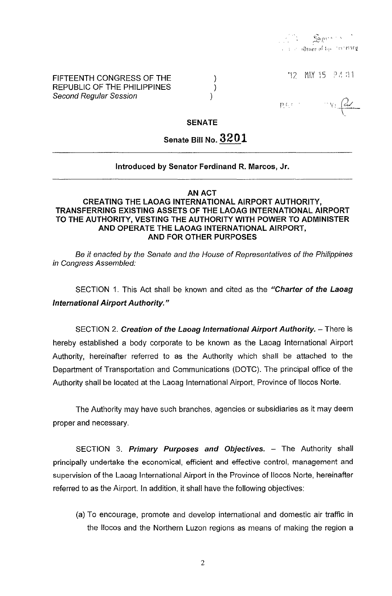"12 MAY 15 P4 11

 $-v:\left(\frac{dv}{c}\right)$ 

FIFTEENTH CONGRESS OF THE REPUBLIC OF THE PHILIPPINES Second Regular Session

pression

SENATE

) ) )

# Senate Bill No. 3201

# Introduced by Senator Ferdinand R. Marcos, Jr.

| ΑΝ<br>۱C |
|----------|
|----------|

# CREATING THE LAOAG INTERNATIONAL AIRPORT AUTHORITY, TRANSFERRING EXISTING ASSETS OF THE LAOAG INTERNATIONAL AIRPORT TO THE AUTHORITY, VESTING THE AUTHORITY WITH POWER TO ADMINISTER AND OPERATE THE LAOAG INTERNATIONAL AIRPORT, AND FOR OTHER PURPOSES

Be it enacted by the Senate and the House of Representatives of the Philippines in Congress Assembled:

SECTION 1. This Act shall be known and cited as the "Charter of the Laoag International Airport Authority."

SECTION 2. Creation of the Laoag International Airport Authority. - There is hereby established a body corporate to be known as the Laoag International Airport Authority, hereinafter referred to as the Authority which shall be attached to the Department of Transportation and Communications (DOTC). The principal office of the Authority shall be located at the Laoag International Airport, Province of Ilocos Norte.

The Authority may have such branches, agencies or subsidiaries as it may deem proper and necessary.

SECTION 3. Primary Purposes and Objectives. - The Authority shall principally undertake the economical, efficient and effective control, management and supervision of the Laoag International Airport in the Province of Ilocos Norte, hereinafter referred to as the Airport. In addition, it shall have the following objectives:

(a) To encourage, promote and develop international and domestic air traffic in the 1I0cos and the Northern Luzon regions as means of making the region a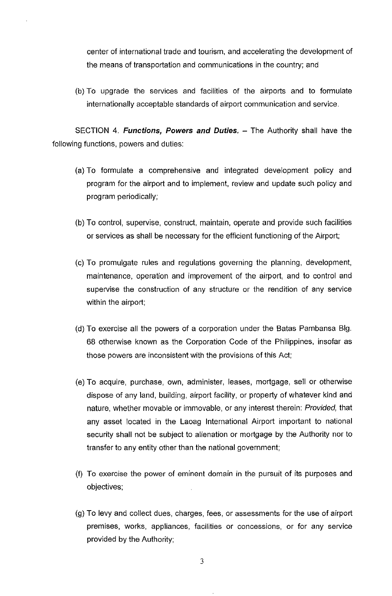center of international trade and tourism, and accelerating the development of the means of transportation and communications in the country; and

(b) To upgrade the services and facilities of the airports and to formulate internationally acceptable standards of airport communication and service.

SECTION 4. **Functions, Powers and Duties.** - The Authority shall have the following functions, powers and duties:

- (a) To formulate a comprehensive and integrated development policy and program for the airport and to implement, review and update such policy and program periodically;
- (b) To control, supervise, construct, maintain, operate and provide such facilities or services as shall be necessary for the efficient functioning of the Airport;
- (c) To promulgate rules and regUlations governing the planning, development, maintenance, operation and improvement of the airport, and to control and supervise the construction of any structure or the rendition of any service within the airport;
- (d) To exercise all the powers of a corporation under the Batas Pambansa Big. 68 otherwise known as the Corporation Code of the Philippines, insofar as those powers are inconsistent with the provisions of this Act;
- (e) To acquire, purchase, own, administer, leases, mortgage, sell or otherwise dispose of any land, building, airport facility, or property of whatever kind and nature, whether movable or immovable, or any interest therein: Provided, that any asset located in the Laoag International Airport important to national security shall not be subject to alienation or mortgage by the Authority nor to transfer to any entity other than the national government;
- (f) To exercise the power of eminent domain in the pursuit of its purposes and objectives;
- (g) To levy and collect dues, charges, fees, or assessments for the use of airport premises, works, appliances, facilities or concessions, or for any service provided by the Authority;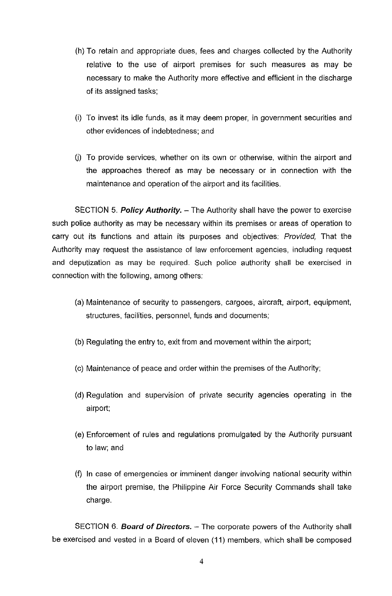- (h) To retain and appropriate dues, fees and charges collected by the Authority relative to the use of airport premises for such measures as may be necessary to make the Authority more effective and efficient in the discharge of its assigned tasks;
- (i) To invest its idle funds, as it may deem proper, in government securities and other evidences of indebtedness; and
- U) To provide services, whether on its own or otherwise, within the airport and the approaches thereof as may be necessary or in connection with the maintenance and operation of the airport and its facilities.

SECTION 5. **Policy Authority.** - The Authority shall have the power to exercise such police authority as may be necessary within its premises or areas of operation to carry out its functions and attain its purposes and objectives: Provided, That the Authority may request the assistance of law enforcement agencies, including request and deputization as may be required. Such police authority shall be exercised in connection with the following, among others:

- (a) Maintenance of security to passengers, cargoes, aircraft, airport, equipment, structures, facilities, personnel, funds and documents;
- (b) Regulating the entry to, exit from and movement within the airport;
- (c) Maintenance of peace and order within the premises of the Authority;
- (d) Regulation and supervision of private security agencies operating in the airport;
- (e) Enforcement of rules and regulations promulgated by the Authority pursuant to law; and
- (f) In case of emergencies or imminent danger involving national security within the airport premise, the Philippine Air Force Security Commands shall take charge.

SECTION 6. **Board of Directors.** - The corporate powers of the Authority shall be exercised and vested in a Board of eleven (11) members, which shall be composed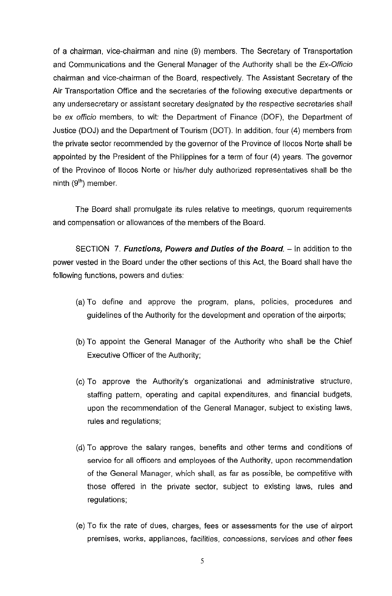of a chairman, vice-chairman and nine (9) members. The Secretary of Transportation and Communications and the General Manager of the Authority shall be the Ex-Officio chairman and vice-chairman of the Board, respectively. The Assistant Secretary of the Air Transportation Office and the secretaries of the following executive departments or any undersecretary or assistant secretary designated by the respective secretaries shall be ex officio members, to wit: the Department of Finance (DOF), the Department of Justice (DOJ) and the Department of Tourism (DOT). In addition, four (4) members from the private sector recommended by the governor of the Province of lIocos Norte shall be appointed by the President of the Philippines for a term of four (4) years. The governor of the Province of lIocos Norte or his/her duly authorized representatives shall be the ninth  $(9<sup>th</sup>)$  member.

The Board shall promulgate its rules relative to meetings, quorum requirements and compensation or allowances of the members of the Board.

SECTION 7. **Functions, Powers and Duties of the Board.** - In addition to the power vested in the Board under the other sections of this Act, the Board shall have the following functions, powers and duties:

- (a) To define and approve the program, plans, policies, procedures and guidelines of the Authority for the development and operation of the airports;
- (b) To appoint the General Manager of the Authority who shall be the Chief Executive Officer of the Authority;
- (c) To approve the Authority's organizational and administrative structure, staffing pattern, operating and capital expenditures, and financial budgets, upon the recommendation of the General Manager, subject to existing laws, rules and regulations;
- (d) To approve the salary ranges, benefits and other terms and conditions of service for all officers and employees of the Authority, upon recommendation of the General Manager, which shall, as far as possible, be competitive with those offered in the private sector, subject to existing laws, rules and regulations;
- (e) To fix the rate of dues, charges, fees or assessments for the use of airport premises, works, appliances, facilities, concessions, services and other fees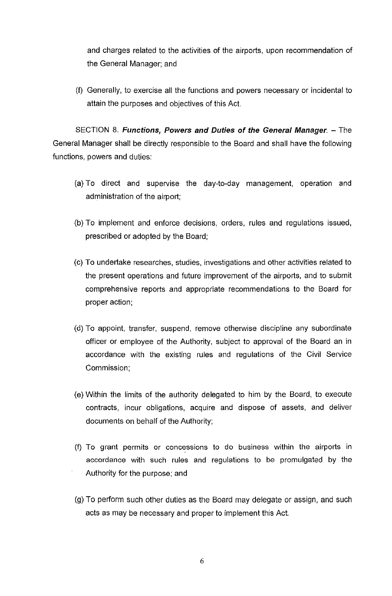and charges related to the activities of the airports, upon recommendation of the General Manager; and

(f) Generally, to exercise all the functions and powers necessary or incidental to attain the purposes and objectives of this Act.

SECTION 8. **Functions, Powers and Duties of the General Manager.** - The General Manager shall be directly responsible to the Board and shall have the following functions, powers and duties:

- (a) To direct and supervise the day-to-day management, operation and administration of the airport;
- (b) To implement and enforce decisions, orders, rules and regulations issued, prescribed or adopted by the Board;
- (c) To undertake researches, studies, investigations and other activities related to the present operations and future improvement of the airports, and to submit comprehensive reports and appropriate recommendations to the Board for proper action;
- (d) To appoint, transfer, suspend, remove otherwise discipline any subordinate officer or employee of the Authority, subject to approval of the Board an in accordance with the existing rules and regulations of the Civil Service Commission;
- (e) Within the limits of the authority delegated to him by the Board, to execute contracts, incur obligations, acquire and dispose of assets, and deliver documents on behalf of the Authority;
- (f) To grant permits or concessions to do business within the airports in accordance with such rules and regulations to be promulgated by the Authority for the purpose; and
- (g) To perform such other duties as the Board may delegate or assign, and such acts as may be necessary and proper to implement this Act.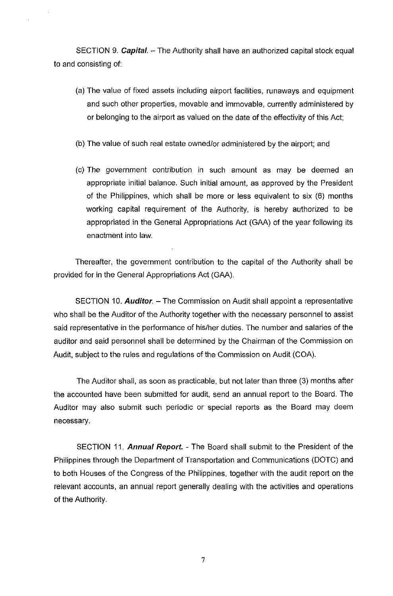SECTION 9. *Capital.* - The Authority shall have an authorized capital stock equal to and consisting of:

- (a) The value of fixed assets including airport facilities, runaways and equipment and such other properties, movable and immovable, currently administered by or belonging to the airport as valued on the date of the effectivity of this Act;
- (b) The value of such real estate owned/or administered by the airport; and
- (c) The government contribution in such amount as may be deemed an appropriate initial balance. Such initial amount, as approved by the President of the Philippines, which shall be more or less equivalent to six (6) months working capital requirement of the Authority, is hereby authorized to be appropriated in the General Appropriations Act (GAA) of the year following its enactment into law.

Thereafter, the government contribution to the capital of the Authority shall be provided for in the General Appropriations Act (GAA).

SECTION 10. **Auditor.** – The Commission on Audit shall appoint a representative who shall be the Auditor of the Authority together with the necessary personnel to assist said representative in the performance of his/her duties. The number and salaries of the auditor and said personnel shall be determined by the Chairman of the Commission on Audit, subject to the rules and regulations of the Commission on Audit (COA).

The Auditor shall, as soon as practicable, but not later than three (3) months after the accounted have been submitted for audit, send an annual report to the Board. The Auditor may also submit such periodic or special reports as the Board may deem necessary.

SECTION 11. **Annual Report.** - The Board shall submit to the President of the Philippines through the Department of Transportation and Communications (DOTC) and to both Houses of the Congress of the Philippines, together with the audit report on the relevant accounts, an annual report generally dealing with the activities and operations of the Authority.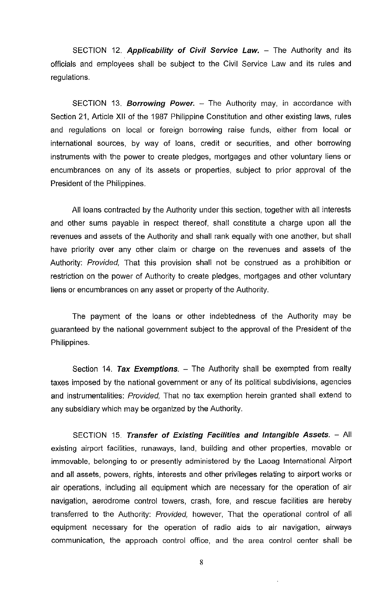SECTION 12. **Applicability of Civil Service Law.** - The Authority and its officials and employees shall be subject to the Civil Service Law and its rules and regulations.

SECTION 13. **Borrowing Power.** – The Authority may, in accordance with Section 21, Article XII of the 1987 Philippine Constitution and other existing laws, rules and regulations on local or foreign borrowing raise funds, either from local or international sources, by way of loans, credit or securities, and other borrowing instruments with the power to create pledges, mortgages and other voluntary liens or encumbrances on any of its assets or properties, subject to prior approval of the President of the Philippines.

All loans contracted by the Authority under this section, together with all interests and other sums payable in respect thereof, shall constitute a charge upon all the revenues and assets of the Authority and shall rank equally with one another, but shall have priority over any other claim or charge on the revenues and assets of the Authority: Provided, That this provision shall not be construed as a prohibition or restriction on the power of Authority to create pledges, mortgages and other voluntary liens or encumbrances on any asset or property of the Authority.

The payment of the loans or other indebtedness of the Authority may be guaranteed by the national government subject to the approval of the President of the Philippines.

Section 14. **Tax Exemptions.** – The Authority shall be exempted from realty taxes imposed by the national government or any of its political subdivisions, agencies and instrumentalities: Provided, That no tax exemption herein granted shall extend to any subsidiary which may be organized by the Authority.

SECTION 15. **Transfer of Existing Facilities and Intangible Assets.** - All existing airport facilities, runaways, land, building and other properties, movable or immovable, belonging to or presently administered by the Laoag International Airport and all assets, powers, rights, interests and other privileges relating to airport works or air operations, including all equipment which are necessary for the operation of air navigation, aerodrome control towers, crash, fore, and rescue facilities are hereby transferred to the Authority: Provided, however, That the operational control of all equipment necessary for the operation of radio aids to air navigation, airways communication, the approach control office, and the area control center shall be

8